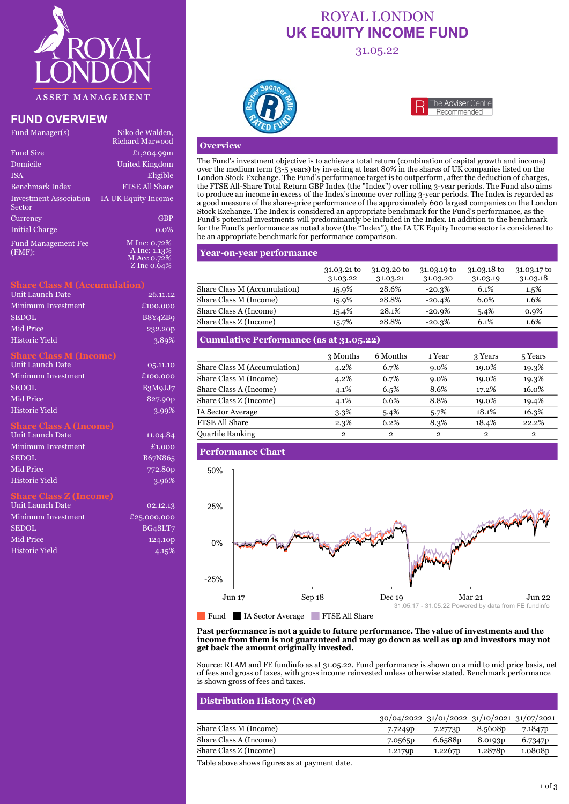

# **FUND OVERVIEW**

| Fund Manager(s)                      | Niko de Walden,<br>Richard Marwood                         |
|--------------------------------------|------------------------------------------------------------|
| <b>Fund Size</b>                     | £1,204.99m                                                 |
| Domicile                             | <b>United Kingdom</b>                                      |
| <b>ISA</b>                           | Eligible                                                   |
| Benchmark Index                      | <b>FTSE All Share</b>                                      |
| Investment Association<br>Sector     | <b>IA UK Equity Income</b>                                 |
| Currency                             | <b>GBP</b>                                                 |
| <b>Initial Charge</b>                | $0.0\%$                                                    |
| <b>Fund Management Fee</b><br>(FMF): | M Inc: 0.72%<br>A Inc: 1.13%<br>M Acc 0.72%<br>Z Inc 0.64% |

#### **Share Class M (Accumulation)**

| Unit Launch Date   | 26.11.12            |
|--------------------|---------------------|
| Minimum Investment | £100,000            |
| <b>SEDOL</b>       | B8Y4ZB9             |
| Mid Price          | 232.20 <sub>p</sub> |
| Historic Yield     | 3.89%               |

#### **Share Class M (Income)**

| Unit Launch Date      | 0,5.11.10 |
|-----------------------|-----------|
| Minimum Investment    | £100,000  |
| <b>SEDOL</b>          | B3MqJJ7   |
| Mid Price             | 827.90p   |
| <b>Historic Yield</b> | 3.99%     |

#### **Share Class A (Income)**

| Unit Launch Date      | 11.04.84            |
|-----------------------|---------------------|
| Minimum Investment    | £1,000              |
| <b>SEDOL</b>          | B67N865             |
| Mid Price             | 772.80 <sub>D</sub> |
| <b>Historic Yield</b> | 3.96%               |

### **Share Class Z (Income)**

| <b>Unit Launch Date</b> | 02.12.13    |
|-------------------------|-------------|
| Minimum Investment      | £25,000,000 |
| <b>SEDOL</b>            | BG48LT7     |
| Mid Price               | 124.10p     |
| <b>Historic Yield</b>   | 4.15%       |

# ROYAL LONDON **UK EQUITY INCOME FUND**

31.05.22





#### **Overview**

The Fund's investment objective is to achieve a total return (combination of capital growth and income) over the medium term (3-5 years) by investing at least 80% in the shares of UK companies listed on the London Stock Exchange. The Fund's performance target is to outperform, after the deduction of charges, the FTSE All-Share Total Return GBP Index (the "Index") over rolling 3-year periods. The Fund also aims to produce an income in excess of the Index's income over rolling 3-year periods. The Index is regarded as a good measure of the share-price performance of the approximately 600 largest companies on the London Stock Exchange. The Index is considered an appropriate benchmark for the Fund's performance, as the Fund's potential investments will predominantly be included in the Index. In addition to the benchmark for the Fund's performance as noted above (the "Index"), the IA UK Equity Income sector is considered to be an appropriate benchmark for performance comparison.

### **Year-on-year performance**

|                              | 31.03.21 to<br>31.03.22 | 31.03.20 to<br>31.03.21 | 31.03.19 to<br>31.03.20 | 31.03.18 to<br>31.03.19 | 31.03.17 to<br>31.03.18 |
|------------------------------|-------------------------|-------------------------|-------------------------|-------------------------|-------------------------|
| Share Class M (Accumulation) | 15.9%                   | 28.6%                   | $-20.3\%$               | 6.1%                    | $1.5\%$                 |
| Share Class M (Income)       | 15.9%                   | 28.8%                   | $-20.4%$                | 6.0%                    | 1.6%                    |
| Share Class A (Income)       | 15.4%                   | 28.1%                   | $-20.9\%$               | $5.4\%$                 | 0.9%                    |
| Share Class Z (Income)       | 15.7%                   | 28.8%                   | $-20.3\%$               | 6.1%                    | 1.6%                    |

# **Cumulative Performance (as at 31.05.22)**

|                              | 3 Months     | 6 Months       | 1 Year  | 3 Years        | 5 Years      |
|------------------------------|--------------|----------------|---------|----------------|--------------|
| Share Class M (Accumulation) | 4.2%         | 6.7%           | $9.0\%$ | 19.0%          | 19.3%        |
| Share Class M (Income)       | 4.2%         | 6.7%           | $9.0\%$ | 19.0%          | 19.3%        |
| Share Class A (Income)       | 4.1%         | 6.5%           | 8.6%    | 17.2%          | 16.0%        |
| Share Class Z (Income)       | 4.1%         | 6.6%           | 8.8%    | 19.0%          | 19.4%        |
| <b>IA Sector Average</b>     | 3.3%         | 5.4%           | 5.7%    | 18.1%          | 16.3%        |
| <b>FTSE All Share</b>        | 2.3%         | 6.2%           | 8.3%    | 18.4%          | 22.2%        |
| <b>Quartile Ranking</b>      | $\mathbf{2}$ | $\overline{2}$ | 2       | $\overline{2}$ | $\mathbf{2}$ |

#### **Performance Chart**



Fund IA Sector Average FTSE All Share

#### **Past performance is not a guide to future performance. The value of investments and the income from them is not guaranteed and may go down as well as up and investors may not get back the amount originally invested.**

Source: RLAM and FE fundinfo as at 31.05.22. Fund performance is shown on a mid to mid price basis, net of fees and gross of taxes, with gross income reinvested unless otherwise stated. Benchmark performance is shown gross of fees and taxes.

| <b>Distribution History (Net)</b> |                                             |         |                     |         |
|-----------------------------------|---------------------------------------------|---------|---------------------|---------|
|                                   | 30/04/2022 31/01/2022 31/10/2021 31/07/2021 |         |                     |         |
| Share Class M (Income)            | 7.7249 <sub>p</sub>                         | 7.2773p | 8.5608p             | 7.1847p |
| Share Class A (Income)            | 7.0565 <sub>p</sub>                         | 6.6588p | 8.0193 <sub>p</sub> | 6.7347p |
| Share Class Z (Income)            | 1.2179 <sub>p</sub>                         | 1.2267p | 1.2878p             | 1.0808p |

Table above shows figures as at payment date.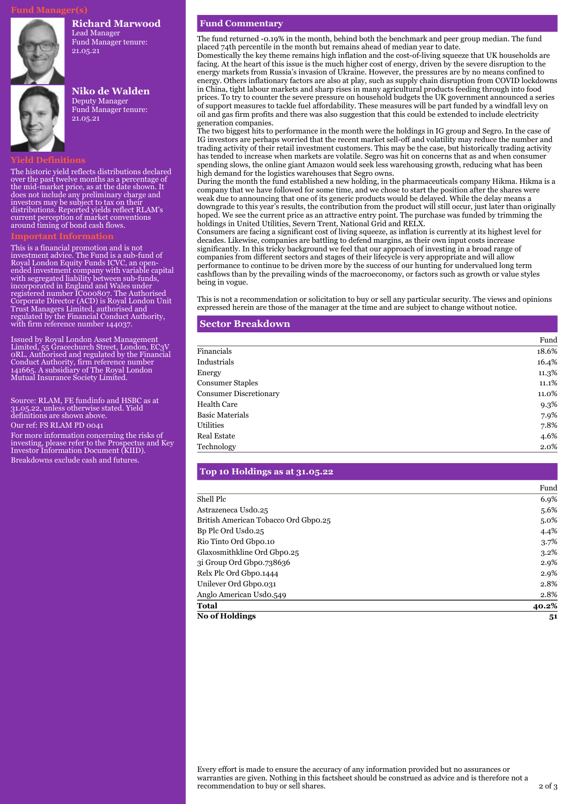#### **Richard Marwood**

Lead Manager Fund Manager tenure: 21.05.21



# **Niko de Walden**

Deputy Manager Fund Manager tenure: 21.05.21

### **Yield Definitions**

The historic yield reflects distributions declared over the past twelve months as a percentage of the mid-market price, as at the date shown. It does not include any preliminary charge and investors may be subject to tax on their distributions. Reported yields reflect RLAM's current perception of market conventions around timing of bond cash flows.

This is a financial promotion and is not investment advice. The Fund is a sub-fund of Royal London Equity Funds ICVC, an openended investment company with variable capital with segregated liability between sub-funds, incorporated in England and Wales under registered number IC000807. The Authorised Corporate Director (ACD) is Royal London Unit Trust Managers Limited, authorised and regulated by the Financial Conduct Authority, with firm reference number 144037.

Issued by Royal London Asset Management Limited, 55 Gracechurch Street, London, EC3V 0RL. Authorised and regulated by the Financial Conduct Authority, firm reference number 141665. A subsidiary of The Royal London Mutual Insurance Society Limited.

Source: RLAM, FE fundinfo and HSBC as at 31.05.22, unless otherwise stated. Yield definitions are shown above.

Our ref: FS RLAM PD 0041

For more information concerning the risks of investing, please refer to the Prospectus and Key Investor Information Document (KIID). Breakdowns exclude cash and futures.

#### **Fund Commentary**

The fund returned -0.19% in the month, behind both the benchmark and peer group median. The fund placed 74th percentile in the month but remains ahead of median year to date. Domestically the key theme remains high inflation and the cost-of-living squeeze that UK households are facing. At the heart of this issue is the much higher cost of energy, driven by the severe disruption to the energy markets from Russia's invasion of Ukraine. However, the pressures are by no means confined to energy. Others inflationary factors are also at play, such as supply chain disruption from COVID lockdowns

in China, tight labour markets and sharp rises in many agricultural products feeding through into food prices. To try to counter the severe pressure on household budgets the UK government announced a series of support measures to tackle fuel affordability. These measures will be part funded by a windfall levy on oil and gas firm profits and there was also suggestion that this could be extended to include electricity generation companies.

The two biggest hits to performance in the month were the holdings in IG group and Segro. In the case of IG investors are perhaps worried that the recent market sell-off and volatility may reduce the number and trading activity of their retail investment customers. This may be the case, but historically trading activity has tended to increase when markets are volatile. Segro was hit on concerns that as and when consumer spending slows, the online giant Amazon would seek less warehousing growth, reducing what has been high demand for the logistics warehouses that Segro owns.

During the month the fund established a new holding, in the pharmaceuticals company Hikma. Hikma is a company that we have followed for some time, and we chose to start the position after the shares were weak due to announcing that one of its generic products would be delayed. While the delay means a downgrade to this year's results, the contribution from the product will still occur, just later than originally hoped. We see the current price as an attractive entry point. The purchase was funded by trimming the holdings in United Utilities, Severn Trent, National Grid and RELX.

Consumers are facing a significant cost of living squeeze, as inflation is currently at its highest level for decades. Likewise, companies are battling to defend margins, as their own input costs increase significantly. In this tricky background we feel that our approach of investing in a broad range of companies from different sectors and stages of their lifecycle is very appropriate and will allow performance to continue to be driven more by the success of our hunting for undervalued long term cashflows than by the prevailing winds of the macroeconomy, or factors such as growth or value styles being in vogue.

This is not a recommendation or solicitation to buy or sell any particular security. The views and opinions expressed herein are those of the manager at the time and are subject to change without notice.

#### **Sector Breakdown**

|                               | Fund  |
|-------------------------------|-------|
| Financials                    | 18.6% |
| Industrials                   | 16.4% |
| Energy                        | 11.3% |
| <b>Consumer Staples</b>       | 11.1% |
| <b>Consumer Discretionary</b> | 11.0% |
| <b>Health Care</b>            | 9.3%  |
| <b>Basic Materials</b>        | 7.9%  |
| Utilities                     | 7.8%  |
| <b>Real Estate</b>            | 4.6%  |
| Technology                    | 2.0%  |

#### **Top 10 Holdings as at 31.05.22**

|                                      | Fund    |
|--------------------------------------|---------|
| Shell Plc                            | 6.9%    |
| Astrazeneca Usdo.25                  | 5.6%    |
| British American Tobacco Ord Gbpo.25 | $5.0\%$ |
| Bp Plc Ord Usdo.25                   | 4.4%    |
| Rio Tinto Ord Gbpo.10                | 3.7%    |
| Glaxosmithkline Ord Gbpo.25          | 3.2%    |
| 31 Group Ord Gbpo.738636             | 2.9%    |
| Relx Plc Ord Gbpo.1444               | 2.9%    |
| Unilever Ord Gbpo.031                | 2.8%    |
| Anglo American Usdo.549              | 2.8%    |
| <b>Total</b>                         | 40.2%   |
| <b>No of Holdings</b>                | 51      |

Every effort is made to ensure the accuracy of any information provided but no assurances or warranties are given. Nothing in this factsheet should be construed as advice and is therefore not a recommendation to buy or sell shares. 2 of 3